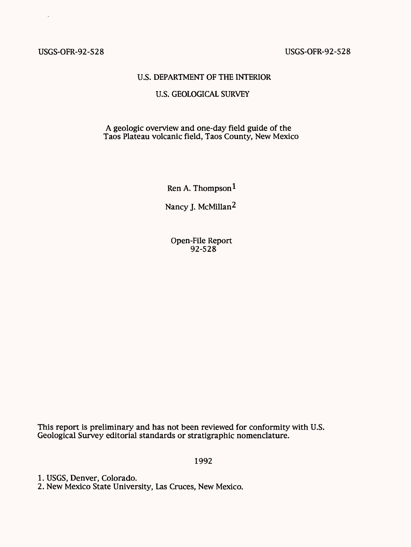# USGS-OFR-92-528 USGS-OFR-92-528

### U.S. DEPARTMENT OF THE INTERIOR

# U.S. GEOLOGICAL SURVEY

# A geologic overview and one-day field guide of the Taos Plateau volcanic field, Taos County, New Mexico

Ren A. Thompson

Nancy J. McMillan<sup>2</sup>

Open-File Report 92-528

This report is preliminary and has not been reviewed for conformity with U.S. Geological Survey editorial standards or stratigraphic nomenclature.

1992

1. USGS, Denver, Colorado.

2. New Mexico State University, Las Cruces, New Mexico.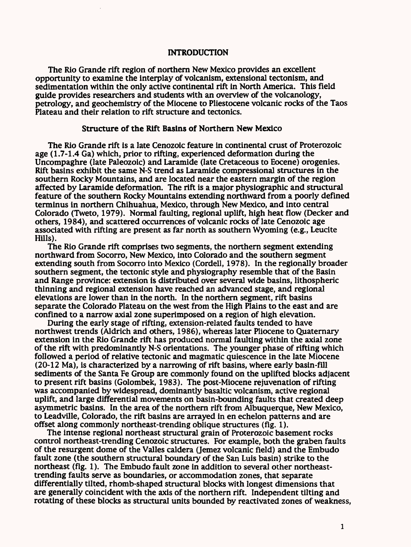### INTRODUCTION

The Rio Grande rift region of northern New Mexico provides an excellent opportunity to examine the interplay of volcanism, extensional tectonism, and sedimentation within the only active continental rift in North America. This field guide provides researchers and students with an overview of the volcanology, petrology, and geochemistry of the Miocene to Pliestocene volcanic rocks of the Taos Plateau and their relation to rift structure and tectonics.

## Structure of the Rift Basins of Northern New Mexico

The Rio Grande rift is a late Cenozoic feature in continental crust of Proterozoic age (1.7-1.4 Ga) which, prior to rifting, experienced deformation during the Uncompaghre (late Paleozoic) and Laramide (late Cretaceous to Eocene) orogenies. Rift basins exhibit the same N-S trend as Laramide compressional structures in the southern Rocky Mountains, and are located near the eastern margin of the region affected by Laramide deformation. The rift is a major physiographic and structural feature of the southern Rocky Mountains extending northward from a poorly defined terminus in northern Chihuahua, Mexico, through New Mexico, and into central Colorado (Tweto, 1979). Normal faulting, regional uplift, high heat flow (Decker and others, 1984), and scattered occurrences of volcanic rocks of late Cenozoic age associated with rifting are present as far north as southern Wyoming (e.g., Leucite Hills).

The Rio Grande rift comprises two segments, the northern segment extending northward from Socorro, New Mexico, into Colorado and the southern segment extending south from Socorro into Mexico (Cordell, 1978). In the regionally broader southern segment, the tectonic style and physiography resemble that of the Basin and Range province: extension is distributed over several wide basins, lithospheric thinning and regional extension have reached an advanced stage, and regional elevations are lower than in the north. In the northern segment, rift basins separate the Colorado Plateau on the west from the High Plains to the east and are confined to a narrow axial zone superimposed on a region of high elevation.

During the early stage of rifting, extension-related faults tended to have northwest trends (Aldrich and others, 1986), whereas later Pliocene to Quaternary extension in the Rio Grande rift has produced normal faulting within the axial zone of the rift with predominantly N-S orientations. The younger phase of rifting which followed a period of relative tectonic and magmatic quiescence in the late Miocene (20-12 Ma), is characterized by a narrowing of rift basins, where early basin-fill sediments of the Santa Fe Group are commonly found on the uplifted blocks adjacent to present rift basins (Golombek, 1983). The post-Miocene rejuvenation of rifting was accompanied by widespread, dominantly basaltic volcanism, active regional uplift, and large differential movements on basin-bounding faults that created deep asymmetric basins. In the area of the northern rift from Albuquerque, New Mexico, to Leadville, Colorado, the rift basins are arrayed in en echelon patterns and are offset along commonly northeast-trending oblique structures (fig. 1).

The intense regional northeast structural grain of Proterozoic basement rocks control northeast-trending Cenozoic structures. For example, both the graben faults of the resurgent dome of the Valles caldera (Jemez volcanic field) and the Embudo fault zone (the southern structural boundary of the San Luis basin) strike to the northeast (fig. 1). The Embudo fault zone in addition to several other northeasttrending faults serve as boundaries, or accommodation zones, that separate differentially tilted, rhomb-shaped structural blocks with longest dimensions that are generally coincident with the axis of the northern rift. Independent tilting and rotating of these blocks as structural units bounded by reactivated zones of weakness,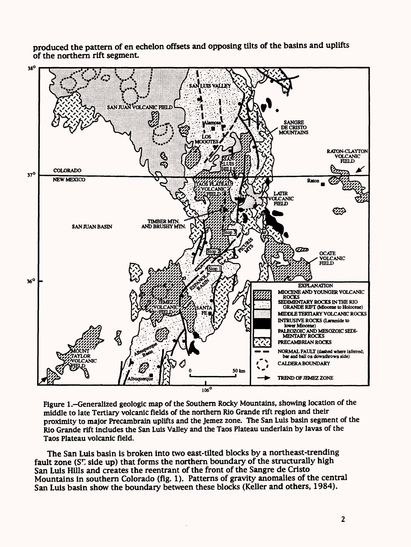produced the pattern of en echelon offsets and opposing tilts of the basins and uplifts of the northern rift segment.



Figure 1.-Generalized geologic map of the Southern Rocky Mountains, showing location of the middle to late Tertiary volcanic fields of the northern Rio Grande rift region and their proximity to major Precambrain uplifts and the Jemez zone. The San Luis basin segment of the Rio Grande rift includes the San Luis Valley and the Taos Plateau underlain by lavas of the Taos Plateau volcanic field.

The San Luis basin is broken into two east-tilted blocks by a northeast-trending fault zone ( $S_{\mathcal{L}}^{\Gamma}$  side up) that forms the northern boundary of the structurally high San Luis Hills and creates the reentrant of the front of the Sangre de Cristo Mountains in southern Colorado (fig. 1). Patterns of gravity anomalies of the central San Luis basin show the boundary between these blocks (Keller and others, 1984).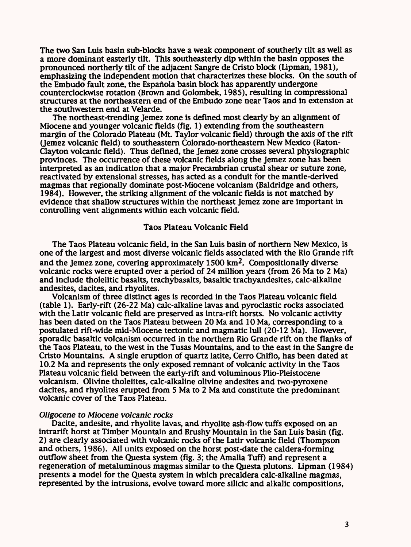The two San Luis basin sub-blocks have a weak component of southerly tilt as well as a more dominant easterly tilt. This southeasterly dip within the basin opposes the pronounced northerly tilt of the adjacent Sangre de Cristo block (Lipman, 1981), emphasizing the independent motion that characterizes these blocks. On the south of the Embudo fault zone, the Espaftola basin block has apparently undergone counterclockwise rotation (Brown and Golombek, 1985), resulting in compressional structures at the northeastern end of the Embudo zone near Taos and in extension at the southwestern end at Velarde.

The northeast-trending Jemez zone is defined most clearly by an alignment of Miocene and younger volcanic fields (fig. 1) extending from the southeastern margin of the Colorado Plateau (Mt. Taylor volcanic field) through the axis of the rift (Jemez volcanic field) to southeastern Colorado-northeastern New Mexico (Raton-Clayton volcanic field). Thus defined, the Jemez zone crosses several physiographic provinces. The occurrence of these volcanic fields along the Jemez zone has been interpreted as an indication that a major Precambrian crustal shear or suture zone, reactivated by extensional stresses, has acted as a conduit for the mantle-derived magmas that regionally dominate post-Miocene volcanism (Baldridge and others, 1984). However, the striking alignment of the volcanic fields is not matched by evidence that shallow structures within the northeast Jemez zone are important in controlling vent alignments within each volcanic field.

## Taos Plateau Volcanic Field

The Taos Plateau volcanic field, in the San Luis basin of northern New Mexico, is one of the largest and most diverse volcanic fields associated with the Rio Grande rift and the Jemez zone, covering approximately  $1500 \text{ km}^2$ . Compositionally diverse volcanic rocks were erupted over a period of 24 million years (from 26 Ma to 2 Ma) and include tholeiitic basalts, trachybasalts, basaltic trachyandesites, calc-alkaline andesites, dacites, and rhyolites.

Volcanism of three distinct ages is recorded in the Taos Plateau volcanic field (table 1). Early-rift (26-22 Ma) calc-alkaline lavas and pyroclastic rocks associated with the Latir volcanic field are preserved as intra-rift horsts. No volcanic activity has been dated on the Taos Plateau between 20 Ma and 10 Ma, corresponding to a postulated rift-wide mid-Miocene tectonic and magmatic lull (20-12 Ma). However, sporadic basaltic volcanism occurred in the northern Rio Grande rift on the flanks of the Taos Plateau, to the west in the Tusas Mountains, and to the east in the Sangre de Cristo Mountains. A single eruption of quartz latite, Cerro Chiflo, has been dated at 10.2 Ma and represents the only exposed remnant of volcanic activity in the Taos Plateau volcanic field between the early-rift and voluminous Plio-Pleistocene volcanism. Olivine tholeiites, calc-alkaline olivine andesites and two-pyroxene dacites, and rhyolites erupted from 5 Ma to 2 Ma and constitute the predominant volcanic cover of the Taos Plateau.

#### *Oligocene to Miocene volcanic rocks*

Dacite, andesite, and rhyolite lavas, and rhyolite ash-flow tuffs exposed on an intrarift horst at Timber Mountain and Brushy Mountain in the San Luis basin (fig. 2) are clearly associated with volcanic rocks of the Latir volcanic field (Thompson and others, 1986). All units exposed on the horst post-date the caldera-forming outflow sheet from the Questa system (fig. 3; the Amalia Tuff) and represent a regeneration of metaluminous magmas similar to the Questa plutons. Lipman (1984) presents a model for the Questa system in which precaldera calc-alkaline magmas, represented by the intrusions, evolve toward more silicic and alkalic compositions,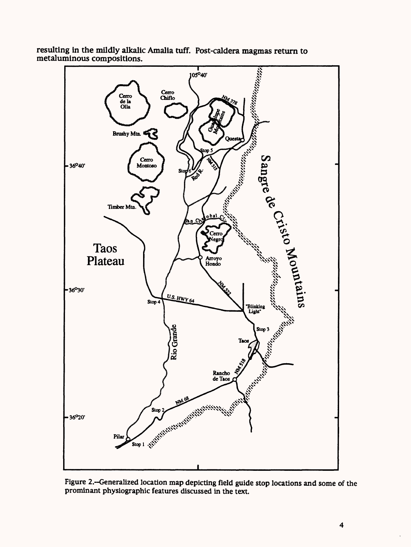

resulting in the mildly alkalic Amalia tuff. Post-caldera magmas return to metaluminous compositions.

Figure 2.-Generalized location map depicting field guide stop locations and some of the prominant physiographic features discussed in the text.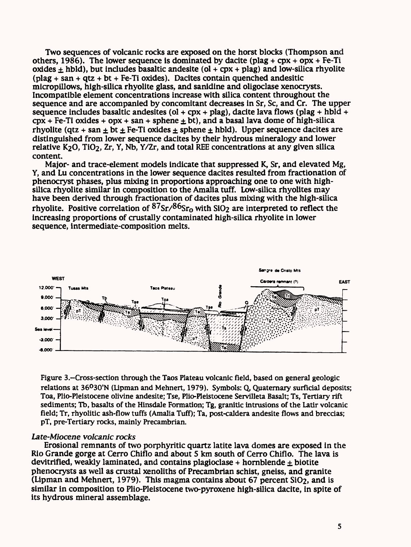Two sequences of volcanic rocks are exposed on the horst blocks (Thompson and others, 1986). The lower sequence is dominated by dacite (plag +  $\text{cpx}$  +  $\text{ppx}$  + Fe-Ti oxides  $\pm$  hbld), but includes basaltic andesite (ol + cpx + plag) and low-silica rhyolite  $(n \log n + \sin n + \cot n)$  + Fe-Ti oxides). Dacites contain quenched andesitic micropillows, high-silica rhyolite glass, and sanidine and oligoclase xenocrysts. Incompatible element concentrations increase with silica content throughout the sequence and are accompanied by concomitant decreases in Sr, Sc, and Cr. The upper sequence includes basaltic andesites (ol + cpx + plag), dacite lava flows (plag + hbld +  $cpx + Fe-Ti$  oxides + opx + san + sphene  $\pm$  bt), and a basal lava dome of high-silica rhyolite (qtz + san + bt  $\pm$  Fe-Ti oxides  $\pm$  sphene  $\pm$  hbld). Upper sequence dacites are distinguished from lower sequence dacites by their hydrous mineralogy and lower relative  $K_2O$ ,  $TiO_2$ ,  $Zr$ ,  $Y$ ,  $Nb$ ,  $Y/Zr$ , and total REE concentrations at any given silica content.

Major- and trace-element models indicate that suppressed K, Sr, and elevated Mg, Y, and Lu concentrations in the lower sequence dacites resulted from fractionation of phenocryst phases, plus mixing in proportions approaching one to one with highsilica rhyolite similar in composition to the Amalia tuff. Low-silica rhyolites may have been derived through fractionation of dacites plus mixing with the high-silica rhyolite. Positive correlation of  $\frac{87}{ST}/86$ Sr<sub>0</sub> with SiO<sub>2</sub> are interpreted to reflect the increasing proportions of crustally contaminated high-silica rhyolite in lower sequence, intermediate-composition melts.



Figure 3.–Cross-section through the Taos Plateau volcanic field, based on general geologic relations at 36°30'N (Lipman and Mehnert, 1979). Symbols: Q, Quaternary surficial deposits; Toa, Plio-Pleistocene olivine andesite; Tse, Plio-Pleistocene Servilleta Basalt; Ts, Tertiary rift sediments; Tb, basalts of the Hinsdale Formation; Tg, granitic intrusions of the Latir volcanic field; Tr, rhyolitic ash-flow tuffs (Amalia Tuff); Ta, post-caldera andesite flows and breccias; pT, pre-Tertiary rocks, mainly Precambrian.

## *Late-Miocene volcanic rocks*

Erosional remnants of two porphyritic quartz latite lava domes are exposed in the Rio Grande gorge at Cerro Chiflo and about 5 km south of Cerro Chiflo. The lava is devitrified, weakly laminated, and contains plagioclase + hornblende  $\pm$  biotite phenocrysts as well as crustal xenoliths of Precambrian schist, gneiss, and granite (Lipman and Mehnert, 1979). This magma contains about 67 percent SiO2, and is similar in composition to Plio-Pleistocene two-pyroxene high-silica dacite, in spite of its hydrous mineral assemblage.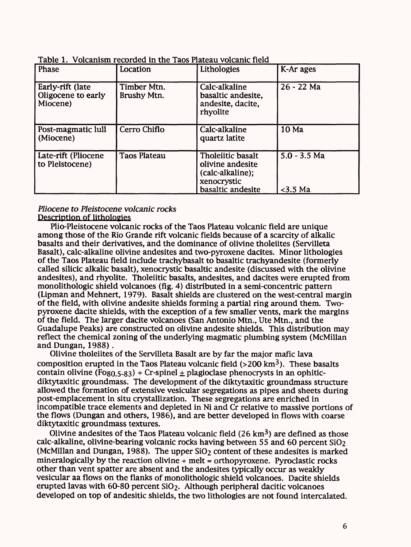| Table 1. Volcanism recorded in the Taos Plateau volcanic field |  |
|----------------------------------------------------------------|--|
|                                                                |  |

| Phase                                              | Location                   | Lithologies                                                                                   | K-Ar ages                    |
|----------------------------------------------------|----------------------------|-----------------------------------------------------------------------------------------------|------------------------------|
| Early-rift (late<br>Oligocene to early<br>Miocene) | Timber Mtn.<br>Brushy Mtn. | Calc-alkaline<br>basaltic andesite,<br>andesite, dacite,<br>rhyolite                          | 26 - 22 Ma                   |
| Post-magmatic lull<br>(Miocene)                    | Cerro Chiflo               | Calc-alkaline<br>quartz latite                                                                | 10 Ma                        |
| Late-rift (Pliocene<br>to Pleistocene)             | <b>Taos Plateau</b>        | Tholeiitic basalt<br>olivine andesite<br>(calc-alkaline);<br>xenocrystic<br>basaltic andesite | $5.0 - 3.5$ Ma<br>$<$ 3.5 Ma |

## *Pliocene to Pleistocene volcanic rocks*  Description of lithologies

Plio-Pleistocene volcanic rocks of the Taos Plateau volcanic field are unique among those of the Rio Grande rift volcanic fields because of a scarcity of alkalic basalts and their derivatives, and the dominance of olivine tholeiites (Servilleta Basalt), calc-alkaline olivine andesites and two-pyroxene dacites. Minor lithologies of the Taos Plateau field include trachybasalt to basaltic trachyandesite (formerly called silicic alkalic basalt), xenocrystic basaltic andesite (discussed with the olivine andesites), and rhyolite. Tholeiitic basalts, andesites, and dacites were erupted from monolithologic shield volcanoes (fig. 4) distributed in a semi-concentric pattern (Lipman and Mehnert, 1979). Basalt shields are clustered on the west-central margin of the field, with olivine andesite shields forming a partial ring around them. Twopyroxene dacite shields, with the exception of a few smaller vents, mark the margins of the field. The larger dacite volcanoes (San Antonio Mtn., Ute Mtn., and the Guadalupe Peaks) are constructed on olivine andesite shields. This distribution may reflect the chemical zoning of the underlying magmatic plumbing system (McMillan and Dungan, 1988).

Olivine tholeiites of the Servilleta Basalt are by far the major mafic lava composition erupted in the Taos Plateau volcanic field (>200 km<sup>3</sup>). These basalts contain olivine (Fo<sub>80.5-83</sub>) + Cr-spinel  $\pm$  plagioclase phenocrysts in an ophiticdiktytaxitic groundmass. The development of the diktytaxitic groundmass structure allowed the formation of extensive vesicular segregations as pipes and sheets during post-emplacement in situ crystallization. These segregations are enriched in incompatible trace elements and depleted in Ni and Cr relative to massive portions of the flows (Dungan and others, 1986), and are better developed in flows with coarse diktytaxitic groundmass textures.

Olivine andesites of the Taos Plateau volcanic field  $(26 \text{ km}^3)$  are defined as those calc-alkaline, olivine-bearing volcanic rocks having between 55 and 60 percent  $SiO<sub>2</sub>$ (McMillan and Dungan, 1988). The upper  $SiO<sub>2</sub>$  content of these andesites is marked mineralogically by the reaction olivine  $+$  melt  $=$  orthopyroxene. Pyroclastic rocks other than vent spatter are absent and the andesites typically occur as weakly vesicular aa flows on the flanks of monolithologic shield volcanoes. Dacite shields erupted lavas with 60-80 percent SiO2. Although peripheral dacitic volcanoes developed on top of andesitic shields, the two lithologies are not found intercalated.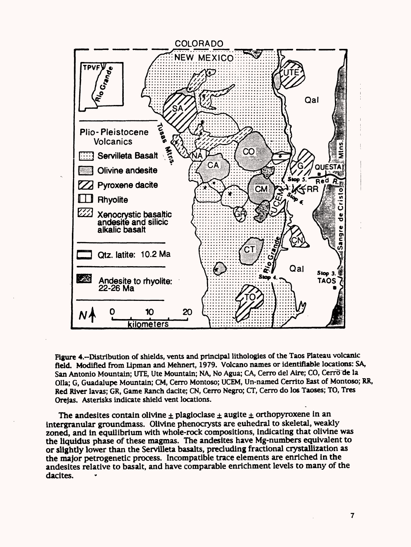

Figure 4.-Distribution of shields, vents and principal lithologies of the Taos Plateau volcanic field. Modified from Lipman and Mehnert, 1979. Volcano names or identifiable locations: SA, San Antonio Mountain; UTE, Ute Mountain; NA, No Agua; CA, Cerro del Aire; CO, Cerro de la Olla; G, Guadalupe Mountain; CM, Cerro Montoso; UCEM, Un-named Cerrito East of Montoso; RR, Red River lavas; GR, Game Ranch dacite; CN, Cerro Negro; CT, Cerro do los Taoses; TO, Tres Orejas. Asterisks indicate shield vent locations.

The andesites contain olivine ± plagiodase *±* augite *±* orthopyroxene in an intergranular groundmass. Olivine phenocrysts are euhedral to skeletal, weakly zoned, and in equilibrium with whole-rock compositions, indicating that olivine was the liquidus phase of these magmas. The andesites have Mg-numbers equivalent to or slightly lower than the Servilleta basalts, precluding fractional crystallization as the major petrogenetic process. Incompatible trace elements are enriched in the andesites relative to basalt, and have comparable enrichment levels to many of the dacites.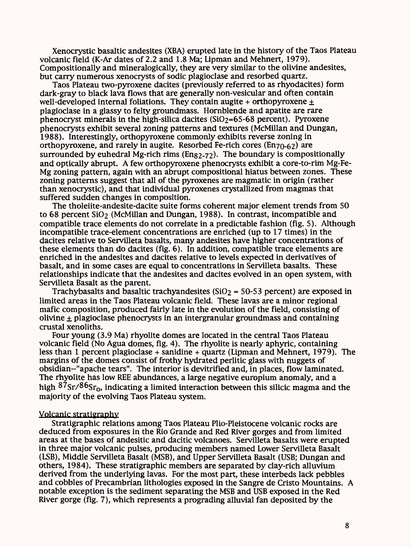Xenocrystic basaltic andesites (XBA) erupted late in the history of the Taos Plateau volcanic field (K-Ar dates of 2.2 and 1.8 Ma; Lipman and Mehnert, 1979). Compositionally and mineralogically, they are very similar to the olivine andesites, but carry numerous xenocrysts of sodic plagioclase and resorbed quartz.

Taos Plateau two-pyroxene dacites (previously referred to as rhyodacites) form dark-gray to black lava flows that are generally non-vesicular and often contain well-developed internal foliations. They contain augite + orthopyroxene  $\pm$ plagioclase in a glassy to felty groundmass. Hornblende and apatite are rare phenocryst minerals in the high-silica dacites  $(SiO<sub>2</sub>=65-68$  percent). Pyroxene phenocrysts exhibit several zoning patterns and textures (McMillan and Dungan, 1988). Interestingly, orthopyroxene commonly exhibits reverse zoning in orthopyroxene, and rarely in augite. Resorbed Fe-rich cores ( $En70-62$ ) are surrounded by euhedral Mg-rich rims ( $Eng_{2-72}$ ). The boundary is compositionally and optically abrupt. A few orthopyroxene phenocrysts exhibit a core-to-rim Mg-Fe-Mg zoning pattern, again with an abrupt compositional hiatus between zones. These zoning patterns suggest that all of the pyroxenes are magmatic in origin (rather than xenocrystic), and that individual pyroxenes crystallized from magmas that suffered sudden changes in composition.

The tholeiite-andesite-dacite suite forms coherent major element trends from 50 to 68 percent  $SiO<sub>2</sub>$  (McMillan and Dungan, 1988). In contrast, incompatible and compatible trace elements do not correlate in a predictable fashion (fig. 5). Although incompatible trace-element concentrations are enriched (up to 17 times) in the dacites relative to Servilleta basalts, many andesites have higher concentrations of these elements than do dacites (fig. 6). In addition, compatible trace elements are enriched in the andesites and dacites relative to levels expected in derivatives of basalt, and in some cases are equal to concentrations in Servilleta basalts. These relationships indicate that the andesites and dacites evolved in an open system, with Servilleta Basalt as the parent.

Trachybasalts and basaltic trachyandesites ( $SiO<sub>2</sub> = 50-53$  percent) are exposed in limited areas in the Taos Plateau volcanic field. These lavas are a minor regional mafic composition, produced fairly late in the evolution of the field, consisting of olivine  $\pm$  plagioclase phenocrysts in an intergranular groundmass and containing crustal xenoliths.

Four young (3.9 Ma) rhyolite domes are located in the central Taos Plateau volcanic field (No Agua domes, fig. 4). The rhyolite is nearly aphyric, containing less than 1 percent plagioclase + sanidine + quartz (Lipman and Mehnert, 1979). The margins of the domes consist of frothy hydrated perlitic glass with nuggets of obsidian-"apache tears". The interior is devitrified and, in places, flow laminated. The rhyolite has low REE abundances, a large negative europium anomaly, and a high  $87$ Sr/ $86$ Sr<sub>0</sub>, indicating a limited interaction between this silicic magma and the majority of the evolving Taos Plateau system.

#### Volcanic stratigraphy

Stratigraphic relations among Taos Plateau Plio-Pleistocene volcanic rocks are deduced from exposures in the Rio Grande and Red River gorges and from limited areas at the bases of andesitic and dacitic volcanoes. Servilleta basalts were erupted in three major volcanic pulses, producing members named Lower Servilleta Basalt (LSB), Middle Servilleta Basalt (MSB), and Upper Servilleta Basalt (USB; Dungan and others, 1984). These Stratigraphic members are separated by clay-rich alluvium derived from the underlying lavas. For the most part, these interbeds lack pebbles and cobbles of Precambrian lithologies exposed in the Sangre de Cristo Mountains. A notable exception is the sediment separating the MSB and USB exposed in the Red River gorge (fig. 7), which represents a prograding alluvial fan deposited by the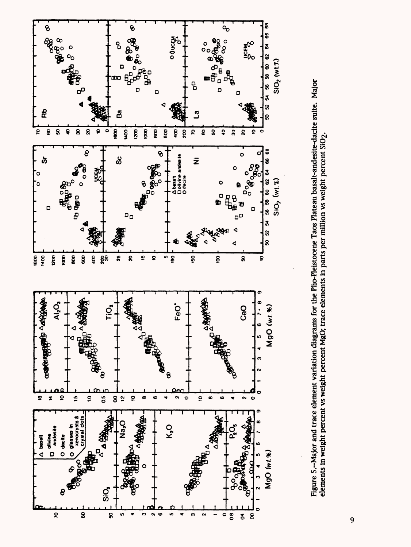

Figure 5.-Major and trace element variation diagrams for the Plio-Pleistocene Taos Plateau basalt-andesite-dacite suite. Major Figure 5.-Major and trace element variation diagrams for the Plio-Pleistocene Taos Plateau basalt-andesite-dacite suite. Major elements in weight percent vs weight percent MgO; trace elements in parts per million vs weight percent SiO2. elements in weight percent vs weight percent MgO; trace elements in parts per million vs weight percent SiO<sub>2</sub>.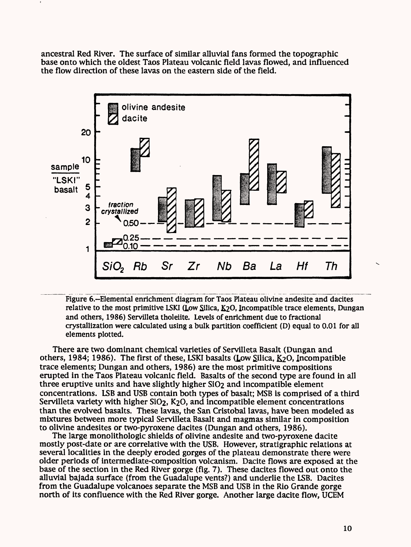ancestral Red River. The surface of similar alluvial fans formed the topographic base onto which the oldest Taos Plateau volcanic field lavas flowed, and influenced the flow direction of these lavas on the eastern side of the field.



Figure 6.-Elemental enrichment diagram for Taos Plateau olivine andesite and dacites relative to the most primitive LSKI (Low Silica, &20» Incompatible trace elements, Dungan and others, 1986) Servilleta tholeiite. Levels of enrichment due to fractional crystallization were calculated using a bulk partition coefficient (D) equal to 0.01 for all elements plotted.

There are two dominant chemical varieties of Servilleta Basalt (Dungan and others, 1984; 1986). The first of these, LSKI basalts (Low Silica,  $K_2O$ , Incompatible trace elements; Dungan and others, 1986) are the most primitive compositions erupted in the Taos Plateau volcanic field. Basalts of the second type are found in all three eruptive units and have slightly higher SiO2 and incompatible element concentrations. LSB and USB contain both types of basalt; MSB is comprised of a third Servilleta variety with higher SiO<sub>2</sub>, K<sub>2</sub>O, and incompatible element concentrations than the evolved basalts. These lavas, the San Cristobal lavas, have been modeled as mixtures between more typical Servilleta Basalt and magmas similar in composition to olivine andesites or two-pyroxene dacites (Dungan and others, 1986).

The large monolithologic shields of olivine andesite and two-pyroxene dacite mostly post-date or are correlative with the USB. However, stratigraphic relations at several localities in the deeply eroded gorges of the plateau demonstrate there were older periods of intermediate-composition volcanism. Dacite flows are exposed at the base of the section in the Red River gorge (fig. 7). These dacites flowed out onto the alluvial bajada surface (from the Guadalupe vents?) and underlie the LSB. Dacites from the Guadalupe volcanoes separate the MSB and USB in the Rio Grande gorge north of its confluence with the Red River gorge. Another large dacite flow, UCEM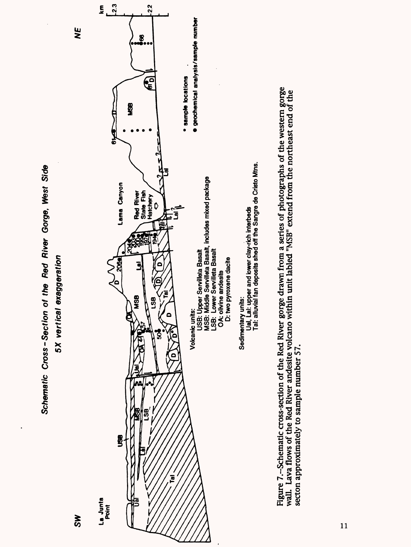

Figure 7.--Schematic cross-section of the Red River gorge drawn from a series of photographs of the western gorge<br>wall. Lava flows of the Red River andesite volcano within unit labled "MSB" extend from the northeast end of Figure 7.~Schematic cross-section of the Red River gorge drawn from a series of photographs of the western gorge wall. Lava flows of the Red River andesite volcano within unit labled "MSB" extend from the northeast end of the secton approximately to sample number 57. secton approximately to sample number 57.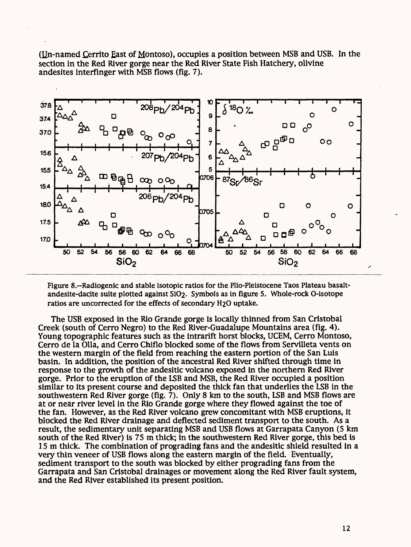(Un-named £errito East of Montoso), occupies a position between MSB and USB. In the section in the Red River gorge near the Red River State Fish Hatchery, olivine andesites interfinger with MSB flows *(fig.* 7).



Figure 8.~Radiogenic and stable isotopic ratios for the Plio-Pleistocene Taos Plateau basaltandesite-dadte suite plotted against SiO2- Symbols as in figure 5. Whole-rock O-isotope ratios are uncorrected for the effects of secondary H<sub>2</sub>O uptake.

The USB exposed in the Rio Grande gorge is locally thinned from San Cristobal Creek (south of Cerro Negro) to the Red River-Guadalupe Mountains area (fig. 4). Young topographic features such as the intrarift horst blocks, UCEM, Cerro Montoso, Cerro de la Olla, and Cerro Chiflo blocked some of the flows from Servilleta vents on the western margin of the field from reaching the eastern portion of the San Luis basin. In addition, the position of the ancestral Red River shifted through time in response to the growth of the andesitic volcano exposed in the northern Red River gorge. Prior to the eruption of the LSB and MSB, the Red River occupied a position similar to its present course and deposited the thick fan that underlies the LSB in the southwestern Red River gorge (fig. 7). Only 8 km to the south, LSB and MSB flows are at or near river level in the Rio Grande gorge where they flowed against the toe of the fan. However, as the Red River volcano grew concomitant with MSB eruptions, it blocked the Red River drainage and deflected sediment transport to the south. As a result, the sedimentary unit separating MSB and USB flows at Garrapata Canyon (5 km south of the Red River) is 75 m thick; in the southwestern Red River gorge, this bed is 15m thick. The combination of prograding fans and the andesitic shield resulted in a very thin veneer of USB flows along the eastern margin of the field. Eventually, sediment transport to the south was blocked by either prograding fans from the Garrapata and San Cristobal drainages or movement along the Red River fault system, and the Red River established its present position.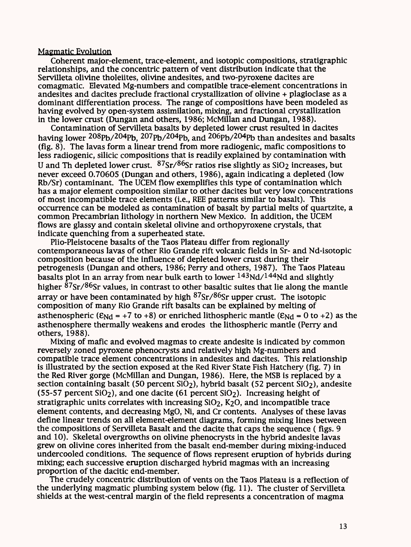#### Magmatic Evolution

Coherent major-element, trace-element, and isotopic compositions, stratigraphic relationships, and the concentric pattern of vent distribution indicate that the Servilleta olivine tholeiites, olivine andesites, and two-pyroxene dacites are comagmatic. Elevated Mg-numbers and compatible trace-element concentrations in andesites and dacites preclude fractional crystallization of olivine + plagioclase as a dominant differentiation process. The range of compositions have been modeled as having evolved by open-system assimilation, mixing, and fractional crystallization in the lower crust (Dungan and others, 1986; McMillan and Dungan, 1988).

Contamination of Servilleta basalts by depleted lower crust resulted in dacites having lower  $208p_b/204p_b$ ,  $207p_b/204p_b$ , and  $206p_b/204p_b$  than andesites and basalts (fig. 8). The lavas form a linear trend from more radiogenic, mafic compositions to less radiogenic, silicic compositions that is readily explained by contamination with U and Th depleted lower crust.  $87Sr/86Sr$  ratios rise slightly as SiO<sub>2</sub> increases, but never exceed 0.70605 (Dungan and others, 1986), again indicating a depleted (low Rb/Sr) contaminant. The UCEM flow exemplifies this type of contamination which has a major element composition similar to other dacites but very low concentrations of most incompatible trace elements (i.e., REE patterns similar to basalt). This occurrence can be modeled as contamination of basalt by partial melts of quartzite, a common Precambrian lithology in northern New Mexico. In addition, the UCEM flows are glassy and contain skeletal olivine and orthopyroxene crystals, that indicate quenching from a superheated state.

Plio-Pleistocene basalts of the Taos Plateau differ from regionally contemporaneous lavas of other Rio Grande rift volcanic fields in Sr- and Nd-isotopic composition because of the influence of depleted lower crust during their petrogenesis (Dungan and others, 1986; Perry and others, 1987). The Taos Plateau basalts plot in an array from near bulk earth to lower  $143Nd/144Nd$  and slightly higher  $\frac{87}{ST}$ / $86$ Sr values, in contrast to other basaltic suites that lie along the mantle array or have been contaminated by high  $87\text{Sr}/86\text{Sr}$  upper crust. The isotopic composition of many Rio Grande rift basalts can be explained by melting of asthenospheric ( $\epsilon_{Nd}$  = +7 to +8) or enriched lithospheric mantle ( $\epsilon_{Nd}$  = 0 to +2) as the asthenosphere thermally weakens and erodes the lithospheric mantle (Perry and others, 1988).

Mixing of mafic and evolved magmas to create andesite is indicated by common reversely zoned pyroxene phenocrysts and relatively high Mg-numbers and compatible trace element concentrations in andesites and dacites. This relationship is illustrated by the section exposed at the Red River State Fish Hatchery (fig. 7) in the Red River gorge (McMillan and Dungan, 1986). Here, the MSB is replaced by a section containing basalt (50 percent  $SiO<sub>2</sub>$ ), hybrid basalt (52 percent  $SiO<sub>2</sub>$ ), andesite (55-57 percent  $SiO<sub>2</sub>$ ), and one dacite (61 percent  $SiO<sub>2</sub>$ ). Increasing height of stratigraphic units correlates with increasing SiO<sub>2</sub>, K<sub>2</sub>O, and incompatible trace element contents, and decreasing MgO, Ni, and Cr contents. Analyses of these lavas define linear trends on all element-element diagrams, forming mixing lines between the compositions of Servilleta Basalt and the dacite that caps the sequence ( figs. 9 and 10). Skeletal overgrowths on olivine phenocrysts in the hybrid andesite lavas grew on olivine cores inherited from the basalt end-member during mixing-induced undercooled conditions. The sequence of flows represent eruption of hybrids during mixing; each successive eruption discharged hybrid magmas with an increasing proportion of the dacitic end-member.

The crudely concentric distribution of vents on the Taos Plateau is a reflection of the underlying magmatic plumbing system below (fig. 11). The cluster of Servilleta shields at the west-central margin of the field represents a concentration of magma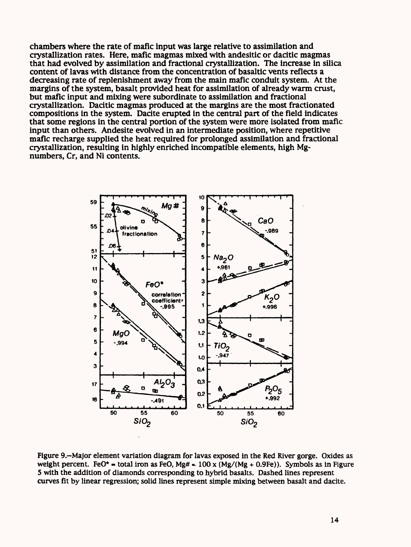chambers where the rate of mafic input was large relative to assimilation and crystallization rates. Here, mafic magmas mixed with andesitic or dacitic magmas that had evolved by assimilation and fractional crystallization. The increase in silica content of lavas with distance from the concentration of basaltic vents reflects a decreasing rate of replenishment away from the main mafic conduit system. At the margins of the system, basalt provided heat for assimilation of already warm crust, but mafic input and mixing were subordinate to assimilation and fractional crystallization. Dacitic magmas produced at the margins are the most fractionated compositions in the system. Dacite erupted in the central part of the field indicates that some regions in the central portion of the system were more isolated from mafic input than others. Andesite evolved in an intermediate position, where repetitive mafic recharge supplied the heat required for prolonged assimilation and fractional crystallization, resulting in highly enriched incompatible elements, high Mgnumbers, Cr, and Ni contents.



Figure 9.-Major element variation diagram for lavas exposed in the Red River gorge. Oxides as weight percent. FeO\* = total iron as FeO, Mg# =  $100 \times (Mg/(Mg + 0.9Fe))$ . Symbols as in Figure 5 with the addition of diamonds corresponding to hybrid basalts. Dashed lines represent curves fit by linear regression; solid lines represent simple mixing between basalt and dacite.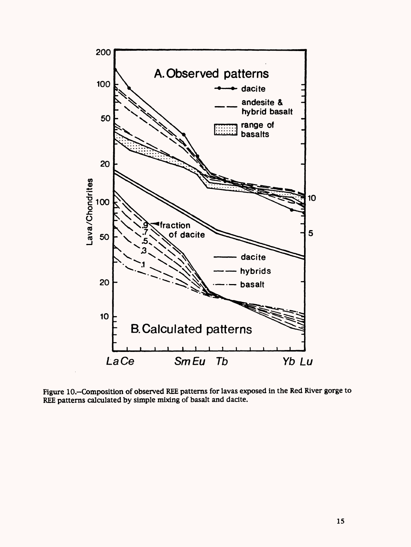

Figure lO.-Composition of observed REE patterns for lavas exposed in the Red River gorge to REE patterns calculated by simple mixing of basalt and dacite.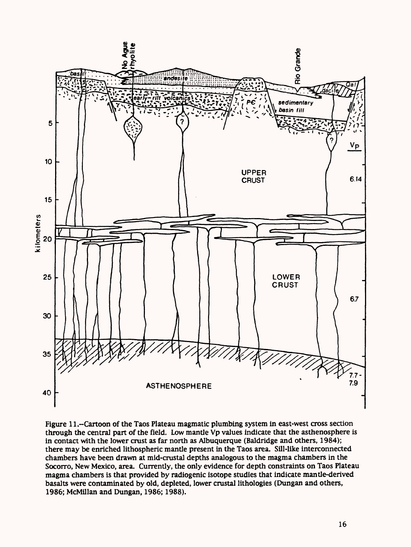

Figure 11.-Cartoon of the Taos Plateau magmatic plumbing system in east-west cross section through the central part of the field. Low mantle Vp values indicate that the asthenosphere is in contact with the lower crust as far north as Albuquerque (Baldridge and others, 1984); there may be enriched lithospheric mantle present in the Taos area. Sill-like interconnected chambers have been drawn at mid-crustal depths analogous to the magma chambers in the Socorro, New Mexico, area. Currently, the only evidence for depth constraints on Taos Plateau magma chambers is that provided by radiogenic isotope studies that indicate mantle-derived basalts were contaminated by old, depleted, lower crustal lithologies (Dungan and others, 1986; McMillan and Dungan, 1986; 1988).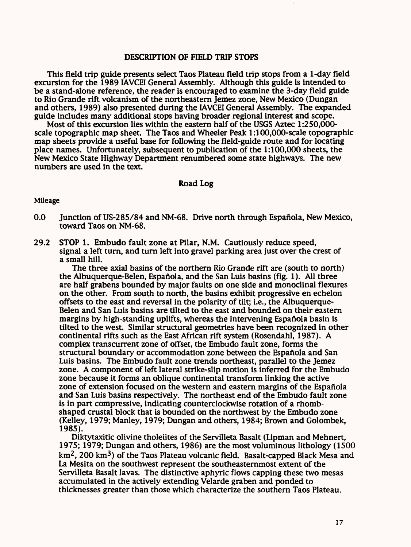## DESCRIPTION OF FIELD TRIP STOPS

This field trip guide presents select Taos Plateau field trip stops from a 1-day field excursion for the 1989 IAVCEI General Assembly. Although this guide is intended to be a stand-alone reference, the reader is encouraged to examine the 3-day field guide to Rio Grande rift volcanism of the northeastern Jemez zone, New Mexico (Dungan and others, 1989) also presented during the IAVCEI General Assembly. The expanded guide includes many additional stops having broader regional interest and scope.

Most of this excursion lies within the eastern half of the USGS Aztec 1:250,000 scale topographic map sheet. The Taos and Wheeler Peak l:100,000-scale topographic map sheets provide a useful base for following the field-guide route and for locating place names. Unfortunately, subsequent to publication of the 1:100,000 sheets, the New Mexico State Highway Department renumbered some state highways. The new numbers are used in the text.

#### Road Log

#### Mileage

- 0.0 Junction of US-285/84 and NM-68. Drive north through Espanola, New Mexico, toward Taos on NM-68.
- 29.2 STOP 1. Embudo fault zone at Pilar, N.M. Cautiously reduce speed, signal a left turn, and turn left into gravel parking area just over the crest of a small hill.

The three axial basins of the northern Rio Grande rift are (south to north) the Albuquerque-Belen, Espaftola, and the San Luis basins (fig. 1). All three are half grabens bounded by major faults on one side and monodinal flexures on the other. From south to north, the basins exhibit progressive en echelon offsets to the east and reversal in the polarity of tilt; i.e., the Albuquerque-Belen and San Luis basins are tilted to the east and bounded on their eastern margins by high-standing uplifts, whereas the intervening Española basin is tilted to the west. Similar structural geometries have been recognized in other continental rifts such as the East African rift system (Rosendahl, 1987). A complex transcurrent zone of offset, the Embudo fault zone, forms the structural boundary or accommodation zone between the Espanola and San Luis basins. The Embudo fault zone trends northeast, parallel to the Jemez zone. A component of left lateral strike-slip motion is inferred for the Embudo zone because it forms an oblique continental transform linking the active zone of extension focused on the western and eastern margins of the Espanola and San Luis basins respectively. The northeast end of the Embudo fault zone is in part compressive, indicating counterclockwise rotation of a rhombshaped crustal block that is bounded on the northwest by the Embudo zone (Kelley, 1979; Manley, 1979; Dungan and others, 1984; Brown and Golombek, 1985).

Diktytaxitic olivine tholeiites of the Servilleta Basalt (Lipman and Mehnert, 1975; 1979; Dungan and others, 1986) are the most voluminous lithology (1500  $km<sup>2</sup>$ , 200 km<sup>3</sup>) of the Taos Plateau volcanic field. Basalt-capped Black Mesa and La Mesita on the southwest represent the southeasternmost extent of the Servilleta Basalt lavas. The distinctive aphyric flows capping these two mesas accumulated in the actively extending Velarde graben and ponded to thicknesses greater than those which characterize the southern Taos Plateau.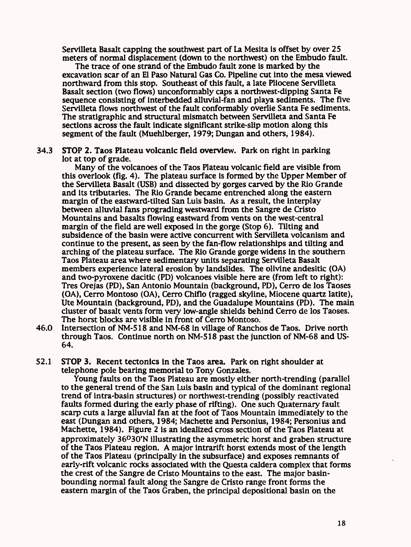Servilleta Basalt capping the southwest part of La Mesita is offset by over 25 meters of normal displacement (down to the northwest) on the Embudo fault.

The trace of one strand of the Embudo fault zone is marked by the excavation scar of an El Paso Natural Gas Co. Pipeline cut into the mesa viewed northward from this stop. Southeast of this fault, a late Pliocene Servilleta Basalt section (two flows) unconformably caps a northwest-dipping Santa Fe sequence consisting of interbedded alluvial-fan and playa sediments. The five Servilleta flows northwest of the fault conformably overlie Santa Fe sediments. The stratigraphic and structural mismatch between Servilleta and Santa Fe sections across the fault indicate significant strike-slip motion along this segment of the fault (Muehlberger, 1979; Dungan and others, 1984).

34.3 STOP 2. Taos Plateau volcanic field overview. Park on right in parking lot at top of grade.

Many of the volcanoes of the Taos Plateau volcanic field are visible from this overlook (fig. 4). The plateau surface is formed by the Upper Member of the Servilleta Basalt (USB) and dissected by gorges carved by the Rio Grande and its tributaries. The Rio Grande became entrenched along the eastern margin of the eastward-tilted San Luis basin. As a result, the interplay between alluvial fans prograding westward from the Sangre de Cristo Mountains and basalts flowing eastward from vents on the west-central margin of the field are well exposed in the gorge (Stop 6). Tilting and subsidence of the basin were active concurrent with Servilleta volcanism and continue to the present, as seen by the fan-flow relationships and tilting and arching of the plateau surface. The Rio Grande gorge widens in the southern Taos Plateau area where sedimentary units separating Servilleta Basalt members experience lateral erosion by landslides. The olivine andesitic (OA) and two-pyroxene dacitic (PD) volcanoes visible here are (from left to right): Tres Orejas (PD), San Antonio Mountain (background, PD), Cerro de los Taoses (OA), Cerro Montoso (OA), Cerro Chiflo (ragged skyline, Miocene quartz latite), Ute Mountain (background, PD), and the Guadalupe Mountains (PD). The main cluster of basalt vents form very low-angle shields behind Cerro de los Taoses. The horst blocks are visible in front of Cerro Montoso.

- 46.0 Intersection of NM-518 and NM-68 in village of Ranches de Taos. Drive north through Taos. Continue north on NM-518 past the junction of NM-68 and US-64.
- 52.1 STOP 3. Recent tectonics in the Taos area. Park on right shoulder at telephone pole bearing memorial to Tony Gonzales.

Young faults on the Taos Plateau are mostly either north-trending (parallel to the general trend of the San Luis basin and typical of the dominant regional trend of intra-basin structures) or northwest-trending (possibly reactivated faults formed during the early phase of rifting). One such Quaternary fault scarp cuts a large alluvial fan at the foot of Taos Mountain immediately to the east (Dungan and others, 1984; Machette and Personius, 1984; Personius and Machette, 1984). Figure 2 is an idealized cross section of the Taos Plateau at approximately 36°30'N illustrating the asymmetric horst and graben structure of the Taos Plateau region. A major intrarift horst extends most of the length of the Taos Plateau (principally in the subsurface) and exposes remnants of early-rift volcanic rocks associated with the Questa caldera complex that forms the crest of the Sangre de Cristo Mountains to the east. The major basinbounding normal fault along the Sangre de Cristo range front forms the eastern margin of the Taos Graben, the principal depositional basin on the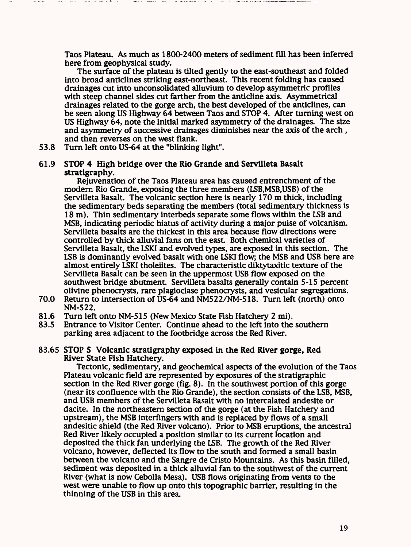Taos Plateau. As much as 1800-2400 meters of sediment fill has been inferred here from geophysical study.

The surface of the plateau is tilted gently to the east-southeast and folded into broad anticlines striking east-northeast. This recent folding has caused drainages cut into unconsolidated alluvium to develop asymmetric profiles with steep channel sides cut farther from the anticline axis. Asymmetrical drainages related to the gorge arch, the best developed of the anticlines, can be seen along US Highway 64 between Taos and STOP 4. After turning west on US Highway 64, note the initial marked asymmetry of the drainages. The size and asymmetry of successive drainages diminishes near the axis of the arch , and then reverses on the west flank.

53.8 Turn left onto US-64 at the "blinking light".

## 61.9 STOP 4 High bridge over the Rio Grande and Servilleta Basalt stratigraphy.

Rejuvenation of the Taos Plateau area has caused entrenchment of the modern Rio Grande, exposing the three members (LSB,MSB,USB) of the Servilleta Basalt. The volcanic section here is nearly 170 m thick, including the sedimentary beds separating the members (total sedimentary thickness is 18m). Thin sedimentary interbeds separate some flows within the LSB and MSB, indicating periodic hiatus of activity during a major pulse of volcanism. Servilleta basalts are the thickest in this area because flow directions were controlled by thick alluvial fans on the east. Both chemical varieties of Servilleta Basalt, the LSKI and evolved types, are exposed in this section. The LSB is dominantly evolved basalt with one LSKI flow, the MSB and USB here are almost entirely LSKI tholeiites. The characteristic diktytaxitic texture of the Servilleta Basalt can be seen in the uppermost USB flow exposed on the southwest bridge abutment. Servilleta basalts generally contain 5-15 percent olivine phenocrysts, rare plagiodase phenocrysts, and vesicular segregations.

- 70.0 Return to intersection of US-64 and NM522/NM-518. Turn left (north) onto NM-522.
- 81.6 Turn left onto NM-515 (New Mexico State Fish Hatchery 2 mi).<br>83.5 Entrance to Visitor Center. Continue ahead to the left into the
- 83.5 Entrance to Visitor Center. Continue ahead to the left into the southern parking area adjacent to the footbridge across the Red River.

## 83.65 STOP 5 Volcanic stratigraphy exposed in the Red River gorge, Red River State Fish Hatchery.

Tectonic, sedimentary, and geochemical aspects of the evolution of the Taos Plateau volcanic field are represented by exposures of the stratigraphic section in the Red River gorge (fig. 8). In the southwest portion of this gorge (near its confluence with the Rio Grande), the section consists of the LSB, MSB, and USB members of the Servilleta Basalt with no intercalated andesite or dacite. In the northeastern section of the gorge (at the Fish Hatchery and upstream), the MSB interfmgers with and is replaced by flows of a small andesitic shield (the Red River volcano). Prior to MSB eruptions, the ancestral Red River likely occupied a position similar to its current location and deposited the thick fan underlying the LSB. The growth of the Red River volcano, however, deflected its flow to the south and formed a small basin between the volcano and the Sangre de Cristo Mountains. As this basin filled, sediment was deposited in a thick alluvial fan to the southwest of the current River (what is now Cebolla Mesa). USB flows originating from vents to the west were unable to flow up onto this topographic barrier, resulting in the thinning of the USB in this area.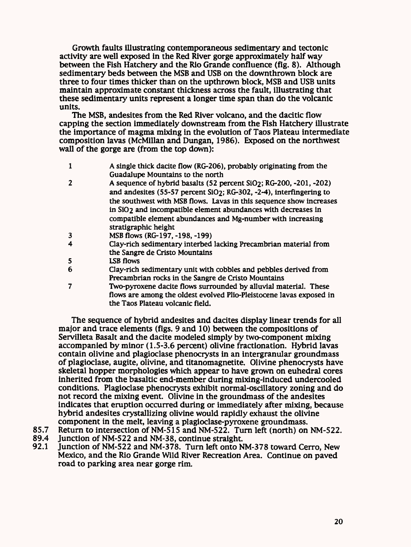Growth faults illustrating contemporaneous sedimentary and tectonic activity are well exposed in the Red River gorge approximately half way between the Fish Hatchery and the Rio Grande confluence (fig. 8). Although sedimentary beds between the MSB and USB on the downthrown block are three to four times thicker than on the upthrown block, MSB and USB units maintain approximate constant thickness across the fault, illustrating that these sedimentary units represent a longer time span than do the volcanic units.

The MSB, andesites from the Red River volcano, and the dacitic flow capping the section immediately downstream from the Fish Hatchery illustrate the importance of magma mixing in the evolution of Taos Plateau intermediate composition lavas (McMillan and Dungan, 1986). Exposed on the northwest wall of the gorge are (from the top down):

- 1 A single thick dacite flow (RG-206), probably originating from the Guadalupe Mountains to the north
- 2 A sequence of hybrid basalts (52 percent Si02; RG-200, -201, -202) and andesites (55-57 percent SiO2; RG-302, -2-4), interfingering to the southwest with MSB flows. Lavas in this sequence show increases in SiO<sub>2</sub> and incompatible element abundances with decreases in compatible element abundances and Mg-number with increasing stratigraphic height
- 3 MSB flows (RG-197, -198, -199)
- 4 Clay-rich sedimentary interbed lacking Precambrian material from the Sangre de Cristo Mountains
- 5 LSB flows
- 6 Clay-rich sedimentary unit with cobbles and pebbles derived from Precambrian rocks in the Sangre de Cristo Mountains
- 7 Two-pyroxene dacite flows surrounded by alluvial material. These flows are among the oldest evolved Plio-Pleistocene lavas exposed in the Taos Plateau volcanic field.

The sequence of hybrid andesites and dacites display linear trends for all major and trace elements (figs. 9 and 10) between the compositions of Servilleta Basalt and the dacite modeled simply by two-component mixing accompanied by minor (1.5-3.6 percent) olivine fractionation. Hybrid lavas contain olivine and plagioclase phenocrysts in an intergranular groundmass of plagioclase, augite, olivine, and titanomagnetite. Olivine phenocrysts have skeletal hopper morphologies which appear to have grown on euhedral cores inherited from the basaltic end-member during mixing-induced undercooled conditions. Plagioclase phenocrysts exhibit normal-oscillatory zoning and do not record the mixing event. Olivine in the groundmass of the andesites indicates that eruption occurred during or immediately after mixing, because hybrid andesites crystallizing olivine would rapidly exhaust the olivine component in the melt, leaving a plagioclase-pyroxene groundmass.

- 85.7 Return to intersection of NM-515 and NM-522. Turn left (north) on NM-522.<br>89.4 Iunction of NM-522 and NM-38, continue straight.
- 89.4 Junction of NM-522 and NM-38, continue straight.<br>92.1 Junction of NM-522 and NM-378. Turn left onto N
- Junction of NM-522 and NM-378. Turn left onto NM-378 toward Cerro, New Mexico, and the Rio Grande Wild River Recreation Area. Continue on paved road to parking area near gorge rim.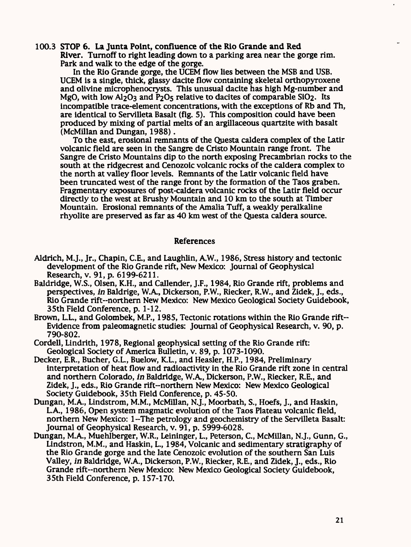100.3 STOP 6. La Junta Point, confluence of the Rio Grande and Red River. Turnoff to right leading down to a parking area near the gorge rim. Park and walk to the edge of the gorge.

In the Rio Grande gorge, the UCEM flow lies between the MSB and USB. UCEM is a single, thick, glassy dacite flow containing skeletal orthopyroxene and olivine microphenocrysts. This unusual dacite has high Mg-number and MgO, with low  $A1_2O_3$  and P<sub>2</sub>O<sub>5</sub> relative to dacites of comparable  $SiO<sub>2</sub>$ . Its incompatible trace-element concentrations, with the exceptions of Rb and Th, are identical to Servilleta Basalt (fig. 5). This composition could have been produced by mixing of partial melts of an argillaceous quartzite with basalt (McMillan and Dungan, 1988).

To the east, erosional remnants of the Questa caldera complex of the Latir volcanic field are seen in the Sangre de Cristo Mountain range front. The Sangre de Cristo Mountains dip to the north exposing Precambrian rocks to the south at the ridgecrest and Cenozoic volcanic rocks of the caldera complex to the north at valley floor levels. Remnants of the Latir volcanic field have been truncated west of the range front by the formation of the Taos graben. Fragmentary exposures of post-caldera volcanic rocks of the Latir field occur directly to the west at Brushy Mountain and 10 km to the south at Timber Mountain. Erosional remnants of the Amalia Tuff, a weakly peralkaline rhyolite are preserved as far as 40 km west of the Questa caldera source.

#### References

- Aldrich, M.J., Jr., Chapin, C.E., and Laughlin, A.W., 1986, Stress history and tectonic development of the Rio Grande rift, New Mexico: Journal of Geophysical Research, v. 91, p. 6199-6211.
- Baldridge, W.S., Olsen, K.H., and Callender, J.F., 1984, Rio Grande rift, problems and perspectives, *in* Baldrige, W.A., Dickerson, P.W., Riecker, R.W., and Zidek, J., eds., Rio Grande rift-northern New Mexico: New Mexico Geological Society Guidebook, 35th Field Conference, p. 1-12.
- Brown, L.L., and Golombek, M.P., 1985, Tectonic rotations within the Rio Grande rift-Evidence from paleomagnetic studies: Journal of Geophysical Research, v. 90, p. 790-802.
- Cordell, Lindrith, 1978, Regional geophysical setting of the Rio Grande rift: Geological Society of America Bulletin, v. 89, p. 1073-1090.
- Decker, E.R., Bucher, G.L, Buelow, K.L., and Heasler, H.P., 1984, Preliminary interpretation of heat flow and radioactivity in the Rio Grande rift zone in central and northern Colorado, *in* Baldridge, W.A., Dickerson, P.W., Riecker, R.E., and Zidek, J., eds., Rio Grande rift-northern New Mexico: New Mexico Geological Society Guidebook, 35th Field Conference, p. 45-50.
- Dungan, M.A., Lindstrom, M.M., McMillan, N.J., Moorbath, S., Hoefs, J., and Haskin, LA., 1986, Open system magmatic evolution of the Taos Plateau volcanic field, northern New Mexico: l~The petrology and geochemistry of the Servilleta Basalt: Journal of Geophysical Research, v. 91, p. 5999-6028.
- Dungan, M.A., Muehlberger, W.R., Leininger, L., Peterson, C., McMillan, N.J., Gunn, G., Lindstron, M.M., and Haskin, L, 1984, Volcanic and sedimentary stratigraphy of the Rio Grande gorge and the late Cenozoic evolution of the southern San Luis Valley, *in* Baldridge, W.A., Dickerson, P.W., Riecker, R.E., and Zidek, J., eds., Rio Grande rift-northern New Mexico: New Mexico Geological Society Guidebook, 35th Field Conference, p. 157-170.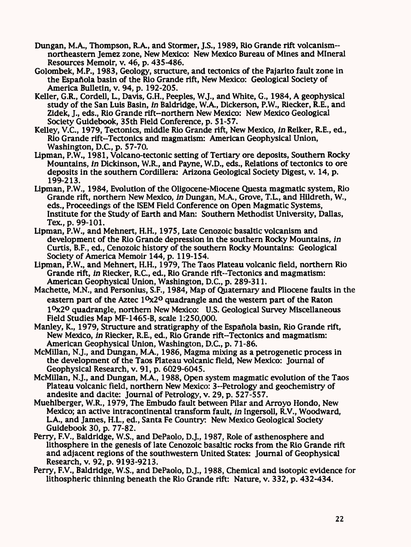- Dungan, M.A., Thompson, R.A., and Stormer, J.S., 1989, Rio Grande rift volcanismnortheastern Jemez zone, New Mexico: New Mexico Bureau of Mines and Mineral Resources Memoir, v. 46, p. 435-486.
- Golombek, M.P., 1983, Geology, structure, and tectonics of the Pajarito fault zone in the Espafiola basin of the Rio Grande rift, New Mexico: Geological Society of America Bulletin, v. 94, p. 192-205.
- Keller, G.R., Cordell, L, Davis, G.H., Peeples, W.J., and White, G., 1984, A geophysical study of the San Luis Basin, *in* Baldridge, W.A., Dickerson, P.W., Riecker, R.E., and Zidek, J., eds., Rio Grande rift-northern New Mexico: New Mexico Geological Society Guidebook, 35th Field Conference, p. 51-57.
- Kelley, V.C., 1979, Tectonics, middle Rio Grande rift, New Mexico, *in* Reiker, R.E., ed., Rio Grande rift-Tectonics and magmatism: American Geophysical Union, Washington, D.C., p. 57-70.
- Lipman, P.W., 1981, Volcano-tectonic setting of Tertiary ore deposits, Southern Rocky Mountains, *in* Dickinson, W.R., and Payne, W.D., eds., Relations of tectonics to ore deposits in the southern Cordillera: Arizona Geological Society Digest, v. 14, p. 199-213.
- Lipman, P.W., 1984, Evolution of the Oligocene-Miocene Questa magmatic system, Rio Grande rift, northern New Mexico, *in* Dungan, M.A., Grove, T.L, and Hildreth, W., eds., Proceedings of the ISEM Field Conference on Open Magmatic Systems, Institute for the Study of Earth and Man: Southern Methodist University, Dallas, Tex., p. 99-101.
- Lipman, P.W., and Mehnert, H.H., 1975, Late Cenozoic basaltic volcanism and development of the Rio Grande depression in the southern Rocky Mountains, *in* Curtis, B.F., ed., Cenozoic history of the southern Rocky Mountains: Geological Society of America Memoir 144, p. 119-154.
- Lipman, P.W., and Mehnert, H.H., 1979, The Taos Plateau volcanic field, northern Rio Grande rift, *in* Riecker, R.C., ed., Rio Grande rift-Tectonics and magmatism: American Geophysical Union, Washington, D.C., p. 289-311.
- Machette, M.N., and Personius, S.F., 1984, Map of Quaternary and Pliocene faults in the eastern part of the Aztec  $1<sup>0</sup>x2<sup>0</sup>$  quadrangle and the western part of the Raton I°x2° quadrangle, northern New Mexico: U.S. Geological Survey Miscellaneous Field Studies Map MF-1465-B, scale 1:250,000.
- Manley, K., 1979, Structure and stratigraphy of the Espaftola basin, Rio Grande rift, New Mexico, *in* Riecker, R.E., ed., Rio Grande rift-Tectonics and magmatism: American Geophysical Union, Washington, D.C., p. 71-86.
- McMillan, N.J., and Dungan, M.A., 1986, Magma mixing as a petrogenetic process in the development of the Taos Plateau volcanic field, New Mexico: Journal of Geophysical Research, v. 91, p. 6029-6045.
- McMillan, N.J., and Dungan, M.A., 1988, Open system magmatic evolution of the Taos Plateau volcanic field, northern New Mexico: 3-Petrology and geochemistry of andesite and dacite: Journal of Petrology, v. 29, p. 527-557.
- Muehlberger, W.R., 1979, The Embudo fault between Pilar and Arroyo Hondo, New Mexico; an active intracontinental transform fault, *in* Ingersoll, R.V., Woodward, LA., and James, H.L., ed., Santa Fe Country: New Mexico Geological Society Guidebook 30, p. 77-82.
- Perry, F.V., Baldridge, W.S., and DePaolo, D.J., 1987, Role of asthenosphere and lithosphere in the genesis of late Cenozoic basaltic rocks from the Rio Grande rift and adjacent regions of the southwestern United States: Journal of Geophysical Research, v. 92, p. 9193-9213.
- Perry, F.V., Baldridge, W.S., and DePaolo, D.J., 1988, Chemical and isotopic evidence for lithospheric thinning beneath the Rio Grande rift: Nature, v. 332, p. 432-434.